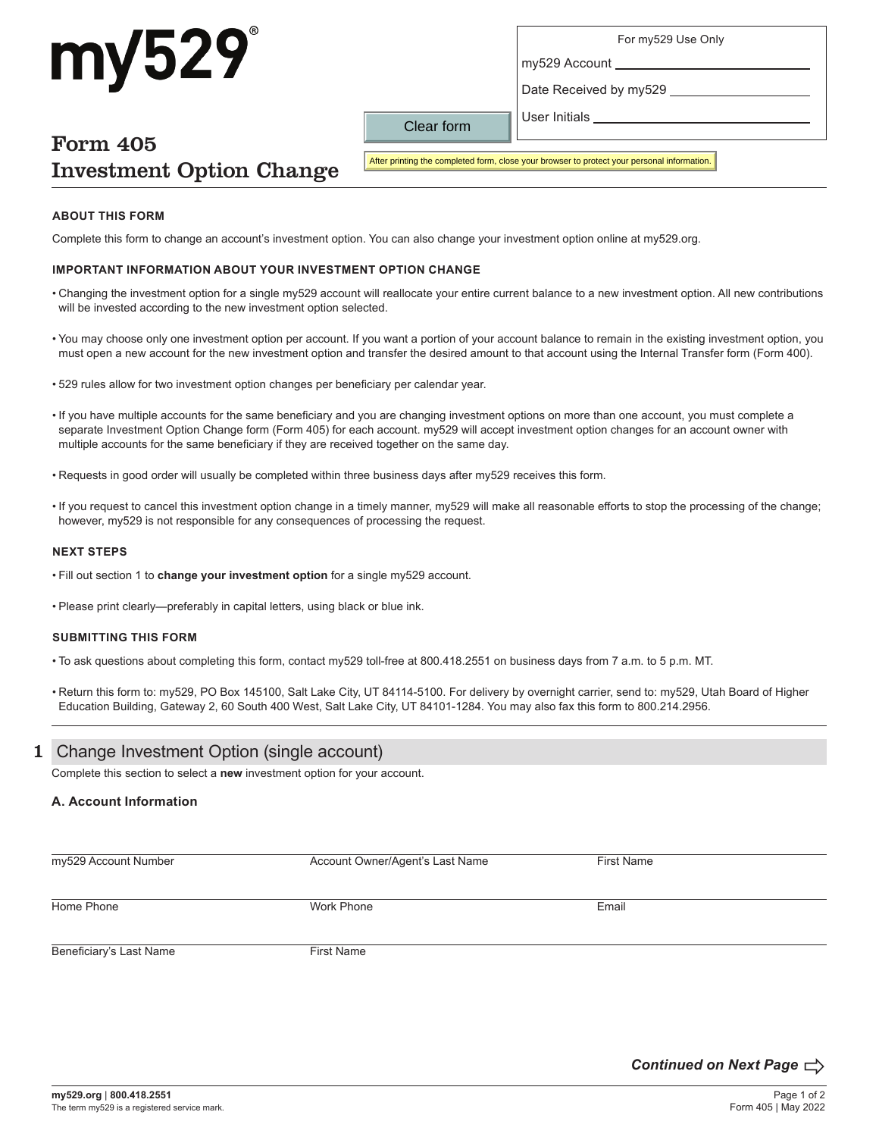# my529

For my529 Use Only

Date Received by my529

my529 Account

User Initials

#### Clear form

## Form 405 Investment Option Change

After printing the completed form, close your browser to protect your personal information.

#### **ABOUT THIS FORM**

Complete this form to change an account's investment option. You can also change your investment option online at my529.org.

#### **IMPORTANT INFORMATION ABOUT YOUR INVESTMENT OPTION CHANGE**

- Changing the investment option for a single my529 account will reallocate your entire current balance to a new investment option. All new contributions will be invested according to the new investment option selected.
- You may choose only one investment option per account. If you want a portion of your account balance to remain in the existing investment option, you must open a new account for the new investment option and transfer the desired amount to that account using the Internal Transfer form (Form 400).
- 529 rules allow for two investment option changes per beneficiary per calendar year.
- If you have multiple accounts for the same beneficiary and you are changing investment options on more than one account, you must complete a separate Investment Option Change form (Form 405) for each account. my529 will accept investment option changes for an account owner with multiple accounts for the same beneficiary if they are received together on the same day.
- Requests in good order will usually be completed within three business days after my529 receives this form.
- If you request to cancel this investment option change in a timely manner, my529 will make all reasonable efforts to stop the processing of the change; however, my529 is not responsible for any consequences of processing the request.

#### **NEXT STEPS**

- Fill out section 1 to **change your investment option** for a single my529 account.
- Please print clearly—preferably in capital letters, using black or blue ink.

#### **SUBMITTING THIS FORM**

- To ask questions about completing this form, contact my529 toll-free at 800.418.2551 on business days from 7 a.m. to 5 p.m. MT.
- Return this form to: my529, PO Box 145100, Salt Lake City, UT 84114-5100. For delivery by overnight carrier, send to: my529, Utah Board of Higher Education Building, Gateway 2, 60 South 400 West, Salt Lake City, UT 84101-1284. You may also fax this form to 800.214.2956.

#### 1 Change Investment Option (single account)

Complete this section to select a **new** investment option for your account.

#### **A. Account Information**

| my529 Account Number    | Account Owner/Agent's Last Name | <b>First Name</b> |  |
|-------------------------|---------------------------------|-------------------|--|
|                         |                                 |                   |  |
|                         |                                 |                   |  |
| Home Phone              | Work Phone                      | Email             |  |
|                         |                                 |                   |  |
|                         |                                 |                   |  |
| Beneficiary's Last Name | <b>First Name</b>               |                   |  |